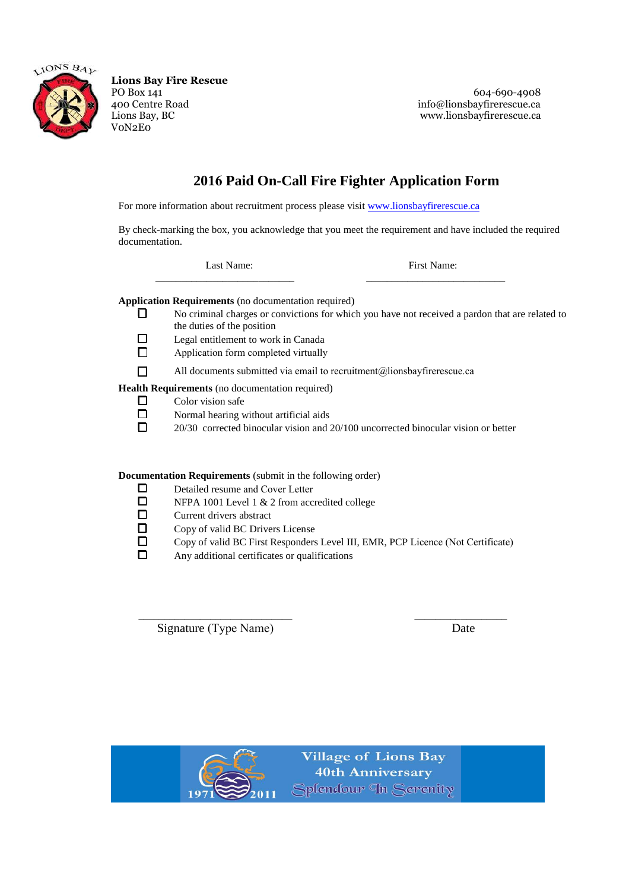

**Lions Bay Fire Rescue** V0N2E0

PO Box 141 604-690-4908 400 Centre Road info@lionsbayfirerescue.ca Lions Bay, BC www.lionsbayfirerescue.ca

## **2016 Paid On-Call Fire Fighter Application Form**

For more information about recruitment process please visit www.lionsbayfirerescue.ca

By check-marking the box, you acknowledge that you meet the requirement and have included the required documentation.

\_\_\_\_\_\_\_\_\_\_\_\_\_\_\_\_\_\_\_\_\_\_\_\_\_\_\_ \_\_\_\_\_\_\_\_\_\_\_\_\_\_\_\_\_\_\_\_\_\_\_\_\_\_\_

Last Name: First Name:

**Application Requirements** (no documentation required)

- $\Box$  No criminal charges or convictions for which you have not received a pardon that are related to the duties of the position
- $\Box$  Legal entitlement to work in Canada
- $\Box$ Application form completed virtually
- $\Box$ All documents submitted via email to recruitment@lionsbayfirerescue.ca

**Health Requirements** (no documentation required)

- $\Box$  Color vision safe
- $\square$  Normal hearing without artificial aids<br> $\square$  20/30 corrected binocular vision and
- 20/30 corrected binocular vision and 20/100 uncorrected binocular vision or better

#### **Documentation Requirements** (submit in the following order)

- Detailed resume and Cover Letter
- $\Box$  NFPA 1001 Level 1 & 2 from accredited college  $\Box$  Current drivers abstract
- Current drivers abstract
- $\Box$  Copy of valid BC Drivers License
- Copy of valid BC First Responders Level III, EMR, PCP Licence (Not Certificate)

\_\_\_\_\_\_\_\_\_\_\_\_\_\_\_\_\_\_\_\_\_\_\_\_\_\_\_\_\_\_ \_\_\_\_\_\_\_\_\_\_\_\_\_\_\_\_\_\_

 $\Box$  Any additional certificates or qualifications

Signature (Type Name) Date

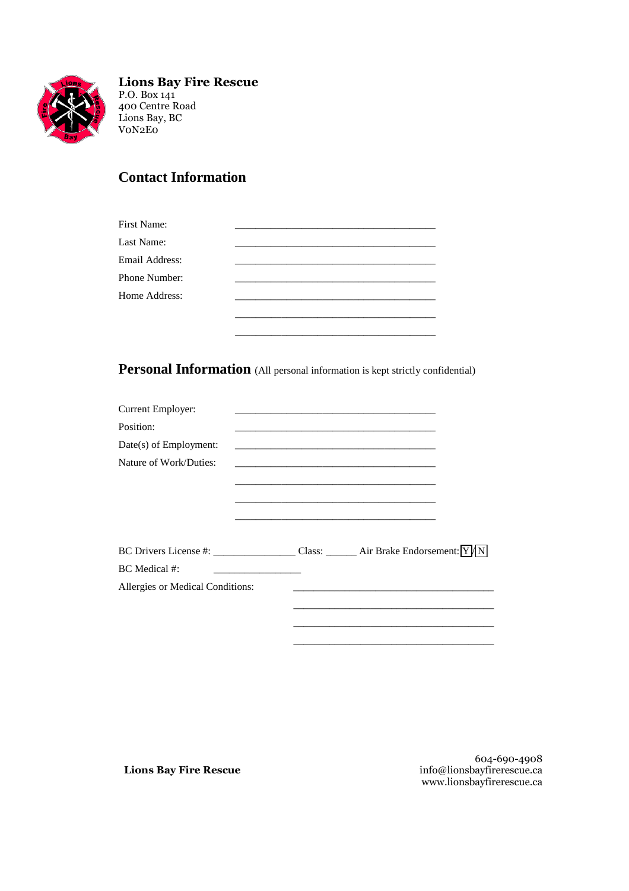

**Lions Bay Fire Rescue** P.O. Box 141 400 Centre Road Lions Bay, BC VoN<sub>2</sub>E<sub>0</sub>

# **Contact Information**

| First Name:    |  |
|----------------|--|
| Last Name:     |  |
| Email Address: |  |
| Phone Number:  |  |
| Home Address:  |  |
|                |  |
|                |  |

**Personal Information** (All personal information is kept strictly confidential)

| Current Employer:                                                                                                                      |                                                                                                                                                                                                                               |
|----------------------------------------------------------------------------------------------------------------------------------------|-------------------------------------------------------------------------------------------------------------------------------------------------------------------------------------------------------------------------------|
| Position:                                                                                                                              |                                                                                                                                                                                                                               |
| Date(s) of Employment:                                                                                                                 |                                                                                                                                                                                                                               |
| Nature of Work/Duties:                                                                                                                 |                                                                                                                                                                                                                               |
|                                                                                                                                        | and the control of the control of the control of the control of the control of the control of the control of the                                                                                                              |
|                                                                                                                                        | the control of the control of the control of the control of the control of the control of the control of the control of the control of the control of the control of the control of the control of the control of the control |
|                                                                                                                                        |                                                                                                                                                                                                                               |
|                                                                                                                                        |                                                                                                                                                                                                                               |
|                                                                                                                                        |                                                                                                                                                                                                                               |
| BC Medical #:<br><u> 1989 - Johann Barn, mars eta bainar eta industrial eta industrial eta industrial eta industrial eta industria</u> |                                                                                                                                                                                                                               |
| Allergies or Medical Conditions:                                                                                                       | the control of the control of the control of the control of the control of the control of the control of the control of the control of the control of the control of the control of the control of the control of the control |
|                                                                                                                                        |                                                                                                                                                                                                                               |
|                                                                                                                                        |                                                                                                                                                                                                                               |
|                                                                                                                                        |                                                                                                                                                                                                                               |

**Lions Bay Fire Rescue**

604-690-4908 info@lionsbayfirerescue.ca www.lionsbayfirerescue.ca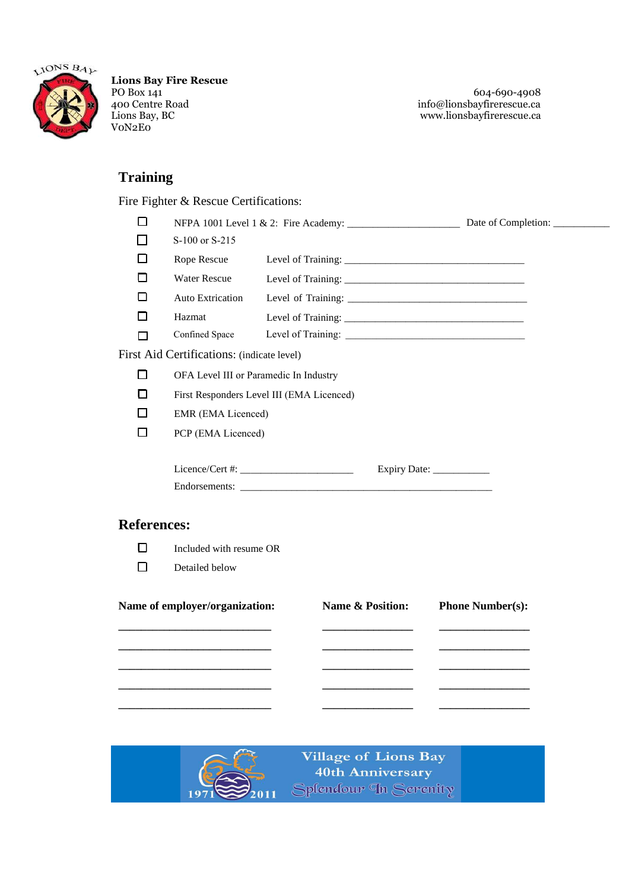

**Lions Bay Fire Rescue** V<sub>ON2</sub>E<sub>0</sub>

PO Box 141 604-690-4908<br>400 Centre Road info@lionsbayfirerescue.ca<br>Lions Bay, BC www.lionsbayfirerescue.ca 400 Centre Road info@lionsbayfirerescue.ca Lions Bay, BC www.lionsbayfirerescue.ca

#### **Training**

Fire Fighter & Rescue Certifications:

| П                         |                                                  |  |                                                 |                         |  |  |
|---------------------------|--------------------------------------------------|--|-------------------------------------------------|-------------------------|--|--|
| - 1                       | S-100 or S-215                                   |  |                                                 |                         |  |  |
| $\mathbf{I}$              | Rope Rescue                                      |  |                                                 |                         |  |  |
| П                         | <b>Water Rescue</b>                              |  |                                                 |                         |  |  |
| п                         | <b>Auto Extrication</b>                          |  |                                                 |                         |  |  |
| П                         | Hazmat                                           |  |                                                 |                         |  |  |
| <b>The Contract State</b> | Confined Space                                   |  |                                                 |                         |  |  |
|                           | First Aid Certifications: (indicate level)       |  |                                                 |                         |  |  |
| $\Box$                    | OFA Level III or Paramedic In Industry           |  |                                                 |                         |  |  |
| □                         | First Responders Level III (EMA Licenced)        |  |                                                 |                         |  |  |
| П                         | <b>EMR</b> (EMA Licenced)                        |  |                                                 |                         |  |  |
| П                         | PCP (EMA Licenced)                               |  |                                                 |                         |  |  |
|                           |                                                  |  |                                                 |                         |  |  |
|                           | $Licence/Cert \#:\_$<br>Expiry Date: ___________ |  |                                                 |                         |  |  |
|                           |                                                  |  |                                                 |                         |  |  |
|                           |                                                  |  |                                                 |                         |  |  |
| <b>References:</b>        |                                                  |  |                                                 |                         |  |  |
| П                         | Included with resume OR                          |  |                                                 |                         |  |  |
| □                         | Detailed below                                   |  |                                                 |                         |  |  |
|                           |                                                  |  |                                                 |                         |  |  |
|                           | Name of employer/organization:                   |  | Name & Position:                                | <b>Phone Number(s):</b> |  |  |
|                           |                                                  |  |                                                 |                         |  |  |
|                           |                                                  |  | <u> 1989 - Johann John Stone, mars et al. (</u> |                         |  |  |
|                           |                                                  |  |                                                 |                         |  |  |
|                           |                                                  |  |                                                 |                         |  |  |
|                           |                                                  |  |                                                 |                         |  |  |
|                           |                                                  |  |                                                 |                         |  |  |



Village of Lions Bay 40th Anniversary Splendour In Serenity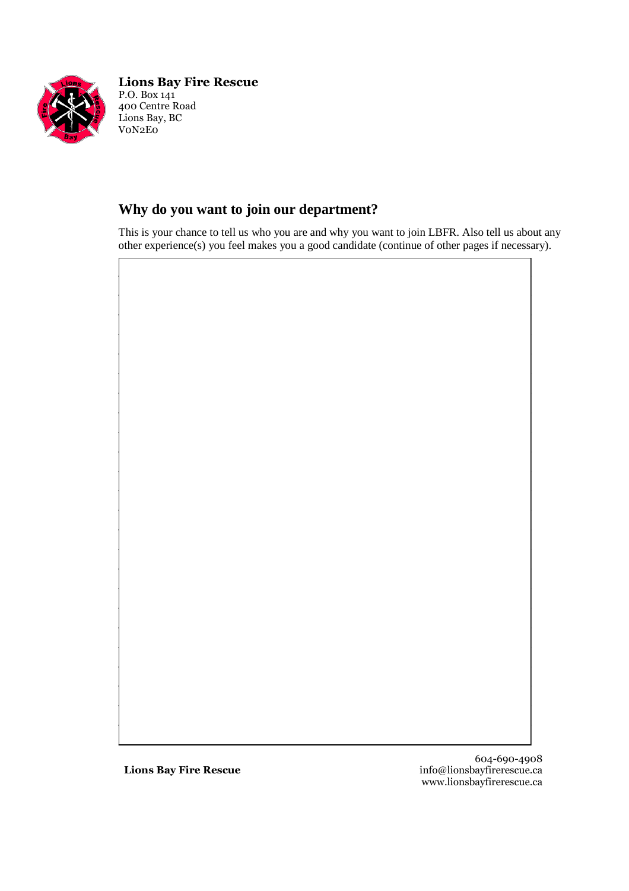

**Lions Bay Fire Rescue** P.O. Box 141 400 Centre Road Lions Bay, BC VoN<sub>2</sub>Eo

# Why do you want to join our department?

This is your chance to tell us who you are and why you want to join LBFR. Also tell us about any other experience(s) you feel makes you a good candidate (continue of other pages if necessary).

**Lions Bay Fire Rescue** 

604-690-4908 info@lionsbayfirerescue.ca www.lionsbayfirerescue.ca